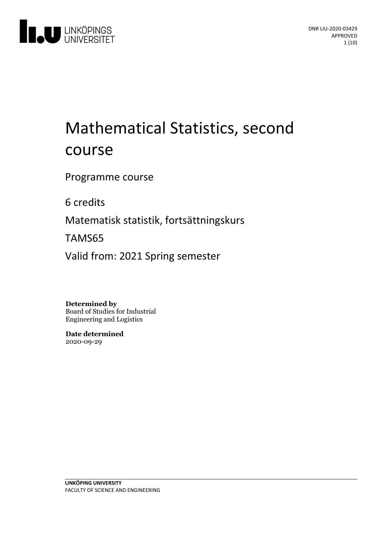

# Mathematical Statistics, second course

Programme course

6 credits

Matematisk statistik, fortsättningskurs

TAMS65

Valid from: 2021 Spring semester

**Determined by** Board of Studies for Industrial Engineering and Logistics

**Date determined** 2020-09-29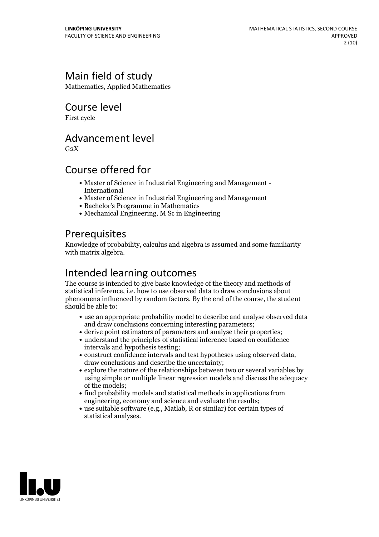# Main field of study

Mathematics, Applied Mathematics

### Course level

First cycle

### Advancement level

 $G<sub>2</sub>X$ 

# Course offered for

- Master of Science in Industrial Engineering and Management International
- Master of Science in Industrial Engineering and Management
- Bachelor's Programme in Mathematics
- Mechanical Engineering, M Sc in Engineering

### **Prerequisites**

Knowledge of probability, calculus and algebra is assumed and some familiarity with matrix algebra.

# Intended learning outcomes

The course is intended to give basic knowledge of the theory and methods of statistical inference, i.e. how to use observed data to draw conclusions about phenomena influenced by random factors. By the end of the course, the student should be able to:

- use an appropriate probability model to describe and analyse observed data and draw conclusions concerning interesting parameters;
- derive point estimators of parameters and analyse their properties;
- understand the principles of statistical inference based on confidence intervals and hypothesis testing;
- construct confidence intervals and test hypotheses using observed data, draw conclusions and describe the uncertainty;
- explore the nature of the relationships between two or several variables by using simple or multiple linear regression models and discuss the adequacy of the models;
- find probability models and statistical methods in applications from engineering, economy and science and evaluate the results;
- use suitable software (e.g., Matlab, R or similar) for certain types of statistical analyses.

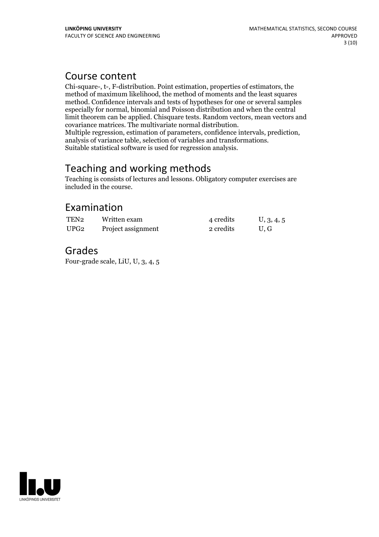### Course content

Chi-square-, t-, F-distribution. Point estimation, properties of estimators, the method of maximum likelihood, the method of moments and the least squares method. Confidence intervals and tests of hypotheses for one or several samples especially for normal, binomial and Poisson distribution and when the central limit theorem can be applied. Chisquare tests. Random vectors, mean vectors and Multiple regression, estimation of parameters, confidence intervals, prediction, analysis of variance table, selection of variables and transformations.<br>Suitable statistical software is used for regression analysis.

### Teaching and working methods

Teaching is consists of lectures and lessons. Obligatory computer exercises are included in the course.

# Examination

| TEN2             | Written exam       | 4 credits | U, 3, 4, 5 |
|------------------|--------------------|-----------|------------|
| UPG <sub>2</sub> | Project assignment | 2 credits | U.G        |

### Grades

Four-grade scale, LiU, U, 3, 4, 5

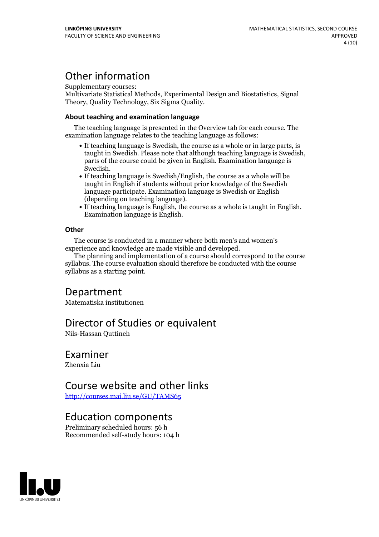# Other information

Supplementary courses:

Multivariate Statistical Methods, Experimental Design and Biostatistics, Signal Theory, Quality Technology, Six Sigma Quality.

#### **About teaching and examination language**

The teaching language is presented in the Overview tab for each course. The examination language relates to the teaching language as follows:

- If teaching language is Swedish, the course as a whole or in large parts, is taught in Swedish. Please note that although teaching language is Swedish, parts of the course could be given in English. Examination language is Swedish.<br>• If teaching language is Swedish/English, the course as a whole will be
- taught in English if students without prior knowledge of the Swedish language participate. Examination language is Swedish or English
- $\bullet$  If teaching language is English, the course as a whole is taught in English. Examination language is English.

#### **Other**

The course is conducted in a manner where both men's and women's

The planning and implementation of a course should correspond to the course syllabus. The course evaluation should therefore be conducted with the course syllabus as a starting point.

### Department

Matematiska institutionen

### Director of Studies or equivalent

Nils-Hassan Quttineh

### Examiner

Zhenxia Liu

### Course website and other links

<http://courses.mai.liu.se/GU/TAMS65>

### Education components

Preliminary scheduled hours: 56 h Recommended self-study hours: 104 h

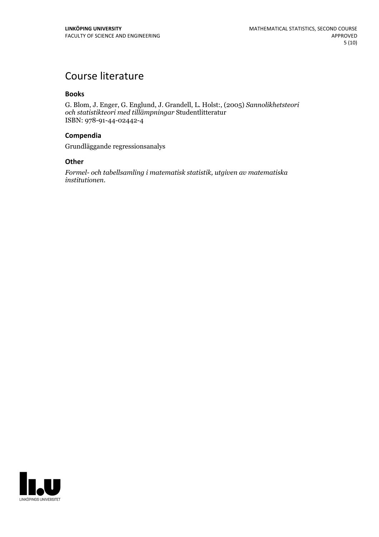# Course literature

#### **Books**

G. Blom, J. Enger, G. Englund, J. Grandell, L. Holst:, (2005) *Sannolikhetsteori och statistikteori med tillämpningar* Studentlitteratur ISBN: 978-91-44-02442-4

#### **Compendia**

Grundläggande regressionsanalys

#### **Other**

*Formel- och tabellsamling i matematisk statistik, utgiven av matematiska institutionen.*

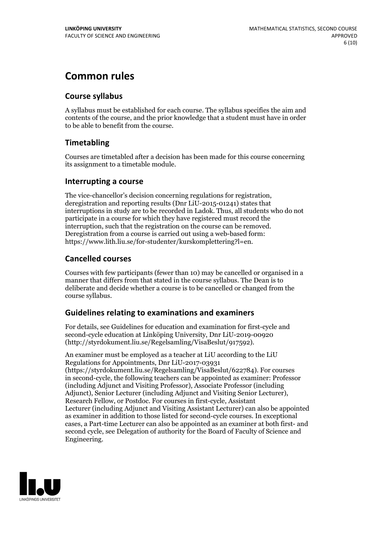# **Common rules**

### **Course syllabus**

A syllabus must be established for each course. The syllabus specifies the aim and contents of the course, and the prior knowledge that a student must have in order to be able to benefit from the course.

### **Timetabling**

Courses are timetabled after a decision has been made for this course concerning its assignment to a timetable module.

### **Interrupting a course**

The vice-chancellor's decision concerning regulations for registration, deregistration and reporting results (Dnr LiU-2015-01241) states that interruptions in study are to be recorded in Ladok. Thus, all students who do not participate in a course for which they have registered must record the interruption, such that the registration on the course can be removed. Deregistration from <sup>a</sup> course is carried outusing <sup>a</sup> web-based form: https://www.lith.liu.se/for-studenter/kurskomplettering?l=en.

### **Cancelled courses**

Courses with few participants (fewer than 10) may be cancelled or organised in a manner that differs from that stated in the course syllabus. The Dean is to deliberate and decide whether a course is to be cancelled or changed from the course syllabus.

### **Guidelines relatingto examinations and examiners**

For details, see Guidelines for education and examination for first-cycle and second-cycle education at Linköping University, Dnr LiU-2019-00920 (http://styrdokument.liu.se/Regelsamling/VisaBeslut/917592).

An examiner must be employed as a teacher at LiU according to the LiU Regulations for Appointments, Dnr LiU-2017-03931 (https://styrdokument.liu.se/Regelsamling/VisaBeslut/622784). For courses in second-cycle, the following teachers can be appointed as examiner: Professor (including Adjunct and Visiting Professor), Associate Professor (including Adjunct), Senior Lecturer (including Adjunct and Visiting Senior Lecturer), Research Fellow, or Postdoc. For courses in first-cycle, Assistant Lecturer (including Adjunct and Visiting Assistant Lecturer) can also be appointed as examiner in addition to those listed for second-cycle courses. In exceptional cases, a Part-time Lecturer can also be appointed as an examiner at both first- and second cycle, see Delegation of authority for the Board of Faculty of Science and Engineering.

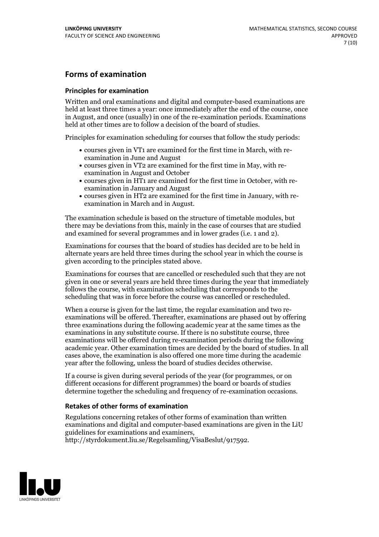### **Forms of examination**

#### **Principles for examination**

Written and oral examinations and digital and computer-based examinations are held at least three times a year: once immediately after the end of the course, once in August, and once (usually) in one of the re-examination periods. Examinations held at other times are to follow a decision of the board of studies.

Principles for examination scheduling for courses that follow the study periods:

- courses given in VT1 are examined for the first time in March, with re-examination in June and August
- courses given in VT2 are examined for the first time in May, with re-examination in August and October
- courses given in HT1 are examined for the first time in October, with re-examination in January and August
- courses given in HT2 are examined for the first time in January, with re-examination in March and in August.

The examination schedule is based on the structure of timetable modules, but there may be deviations from this, mainly in the case of courses that are studied and examined for several programmes and in lower grades (i.e. 1 and 2).

Examinations for courses that the board of studies has decided are to be held in alternate years are held three times during the school year in which the course is given according to the principles stated above.

Examinations for courses that are cancelled orrescheduled such that they are not given in one or several years are held three times during the year that immediately follows the course, with examination scheduling that corresponds to the scheduling that was in force before the course was cancelled or rescheduled.

When a course is given for the last time, the regular examination and two re-<br>examinations will be offered. Thereafter, examinations are phased out by offering three examinations during the following academic year at the same times as the examinations in any substitute course. If there is no substitute course, three examinations will be offered during re-examination periods during the following academic year. Other examination times are decided by the board of studies. In all cases above, the examination is also offered one more time during the academic year after the following, unless the board of studies decides otherwise.

If a course is given during several periods of the year (for programmes, or on different occasions for different programmes) the board or boards of studies determine together the scheduling and frequency of re-examination occasions.

#### **Retakes of other forms of examination**

Regulations concerning retakes of other forms of examination than written examinations and digital and computer-based examinations are given in the LiU guidelines for examinations and examiners, http://styrdokument.liu.se/Regelsamling/VisaBeslut/917592.

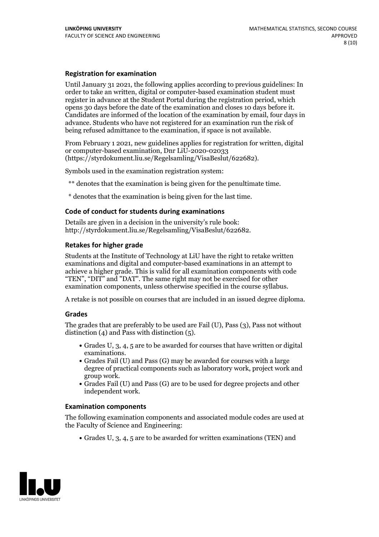#### **Registration for examination**

Until January 31 2021, the following applies according to previous guidelines: In order to take an written, digital or computer-based examination student must register in advance at the Student Portal during the registration period, which Candidates are informed of the location of the examination by email, four days in advance. Students who have not registered for an examination run the risk of being refused admittance to the examination, if space is not available.

From February 1 2021, new guidelines applies for registration for written, digital or computer-based examination, Dnr LiU-2020-02033 (https://styrdokument.liu.se/Regelsamling/VisaBeslut/622682).

Symbols used in the examination registration system:

\*\* denotes that the examination is being given for the penultimate time.

\* denotes that the examination is being given for the last time.

#### **Code of conduct for students during examinations**

Details are given in a decision in the university's rule book: http://styrdokument.liu.se/Regelsamling/VisaBeslut/622682.

#### **Retakes for higher grade**

Students at the Institute of Technology at LiU have the right to retake written examinations and digital and computer-based examinations in an attempt to achieve a higher grade. This is valid for all examination components with code "TEN", "DIT" and "DAT". The same right may not be exercised for other examination components, unless otherwise specified in the course syllabus.

A retake is not possible on courses that are included in an issued degree diploma.

#### **Grades**

The grades that are preferably to be used are Fail (U), Pass (3), Pass not without distinction  $(4)$  and Pass with distinction  $(5)$ .

- Grades U, 3, 4, 5 are to be awarded for courses that have written or digital examinations.<br>• Grades Fail (U) and Pass (G) may be awarded for courses with a large
- degree of practical components such as laboratory work, project work and
- $\bullet$  Grades Fail (U) and Pass (G) are to be used for degree projects and other independent work.

#### **Examination components**

The following examination components and associated module codes are used at the Faculty of Science and Engineering:

Grades U, 3, 4, 5 are to be awarded for written examinations (TEN) and

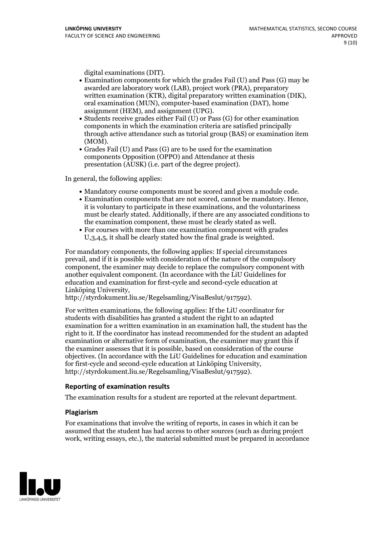- digital examinations (DIT).<br>• Examination components for which the grades Fail (U) and Pass (G) may be awarded are laboratory work (LAB), project work (PRA), preparatory written examination (KTR), digital preparatory written examination (DIK), oral examination (MUN), computer-based examination (DAT), home
- assignment (HEM), and assignment (UPG).<br>• Students receive grades either Fail (U) or Pass (G) for other examination components in which the examination criteria are satisfied principally through active attendance such as tutorial group (BAS) or examination item
- (MOM).<br>• Grades Fail (U) and Pass (G) are to be used for the examination components Opposition (OPPO) and Attendance at thesis presentation (AUSK) (i.e. part of the degree project).

In general, the following applies:

- 
- Mandatory course components must be scored and given <sup>a</sup> module code. Examination components that are not scored, cannot be mandatory. Hence, it is voluntary to participate in these examinations, and the voluntariness must be clearly stated. Additionally, if there are any associated conditions to the examination component, these must be clearly stated as well.<br>• For courses with more than one examination component with grades
- U,3,4,5, it shall be clearly stated how the final grade is weighted.

For mandatory components, the following applies: If special circumstances prevail, and if it is possible with consideration of the nature ofthe compulsory component, the examiner may decide to replace the compulsory component with another equivalent component. (In accordance with the LiU Guidelines for education and examination for first-cycle and second-cycle education at Linköping University, http://styrdokument.liu.se/Regelsamling/VisaBeslut/917592).

For written examinations, the following applies: If the LiU coordinator for students with disabilities has granted a student the right to an adapted examination for a written examination in an examination hall, the student has the right to it. If the coordinator has instead recommended for the student an adapted examination or alternative form of examination, the examiner may grant this if the examiner assesses that it is possible, based on consideration of the course objectives. (In accordance with the LiU Guidelines for education and examination for first-cycle and second-cycle education at Linköping University, http://styrdokument.liu.se/Regelsamling/VisaBeslut/917592).

#### **Reporting of examination results**

The examination results for a student are reported at the relevant department.

#### **Plagiarism**

For examinations that involve the writing of reports, in cases in which it can be assumed that the student has had access to other sources (such as during project work, writing essays, etc.), the material submitted must be prepared in accordance